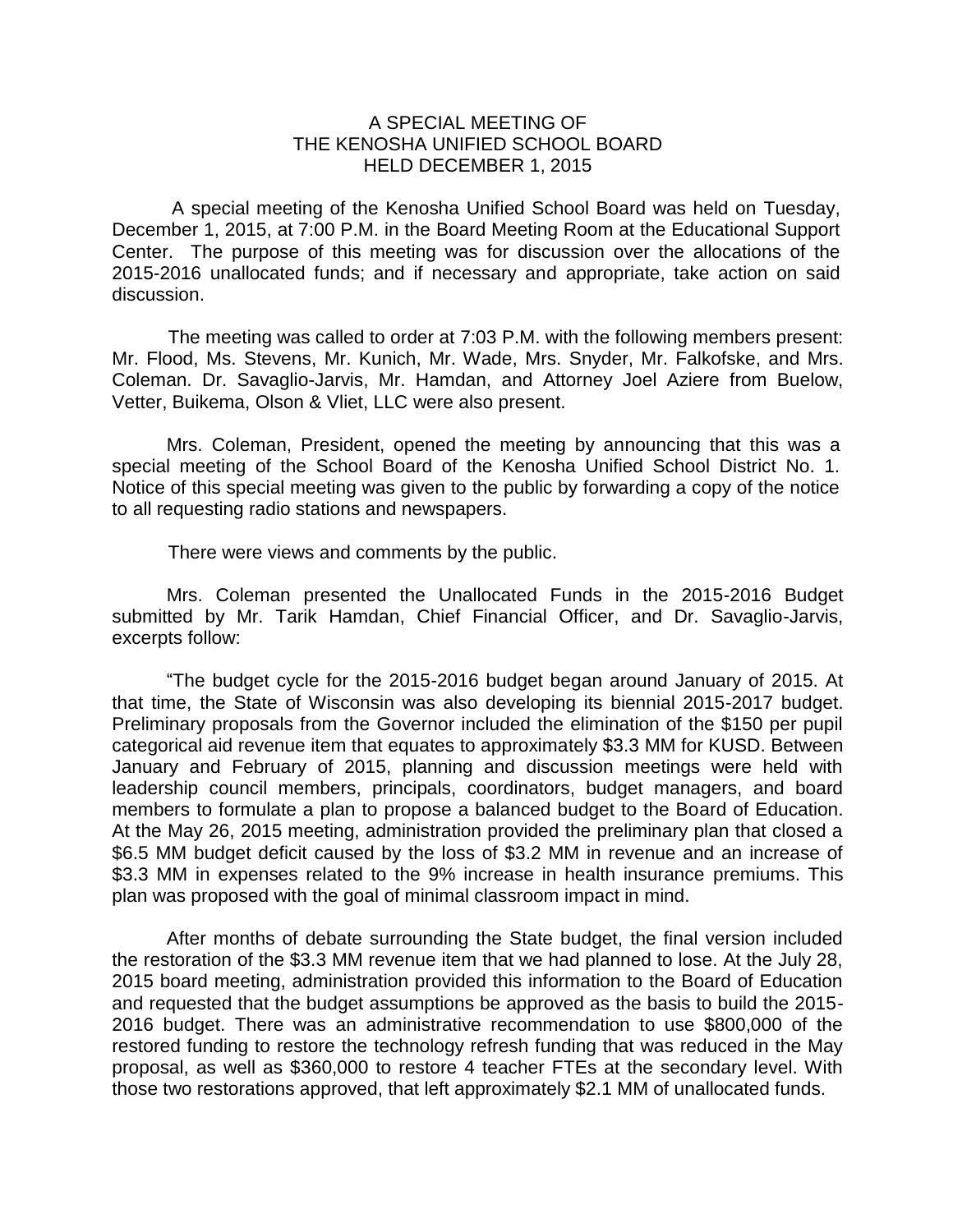## A SPECIAL MEETING OF THE KENOSHA UNIFIED SCHOOL BOARD HELD DECEMBER 1, 2015

A special meeting of the Kenosha Unified School Board was held on Tuesday, December 1, 2015, at 7:00 P.M. in the Board Meeting Room at the Educational Support Center. The purpose of this meeting was for discussion over the allocations of the 2015-2016 unallocated funds; and if necessary and appropriate, take action on said discussion.

The meeting was called to order at 7:03 P.M. with the following members present: Mr. Flood, Ms. Stevens, Mr. Kunich, Mr. Wade, Mrs. Snyder, Mr. Falkofske, and Mrs. Coleman. Dr. Savaglio-Jarvis, Mr. Hamdan, and Attorney Joel Aziere from Buelow, Vetter, Buikema, Olson & Vliet, LLC were also present.

Mrs. Coleman, President, opened the meeting by announcing that this was a special meeting of the School Board of the Kenosha Unified School District No. 1. Notice of this special meeting was given to the public by forwarding a copy of the notice to all requesting radio stations and newspapers.

There were views and comments by the public.

Mrs. Coleman presented the Unallocated Funds in the 2015-2016 Budget submitted by Mr. Tarik Hamdan, Chief Financial Officer, and Dr. Savaglio-Jarvis, excerpts follow:

"The budget cycle for the 2015-2016 budget began around January of 2015. At that time, the State of Wisconsin was also developing its biennial 2015-2017 budget. Preliminary proposals from the Governor included the elimination of the \$150 per pupil categorical aid revenue item that equates to approximately \$3.3 MM for KUSD. Between January and February of 2015, planning and discussion meetings were held with leadership council members, principals, coordinators, budget managers, and board members to formulate a plan to propose a balanced budget to the Board of Education. At the May 26, 2015 meeting, administration provided the preliminary plan that closed a \$6.5 MM budget deficit caused by the loss of \$3.2 MM in revenue and an increase of \$3.3 MM in expenses related to the 9% increase in health insurance premiums. This plan was proposed with the goal of minimal classroom impact in mind.

After months of debate surrounding the State budget, the final version included the restoration of the \$3.3 MM revenue item that we had planned to lose. At the July 28, 2015 board meeting, administration provided this information to the Board of Education and requested that the budget assumptions be approved as the basis to build the 2015- 2016 budget. There was an administrative recommendation to use \$800,000 of the restored funding to restore the technology refresh funding that was reduced in the May proposal, as well as \$360,000 to restore 4 teacher FTEs at the secondary level. With those two restorations approved, that left approximately \$2.1 MM of unallocated funds.